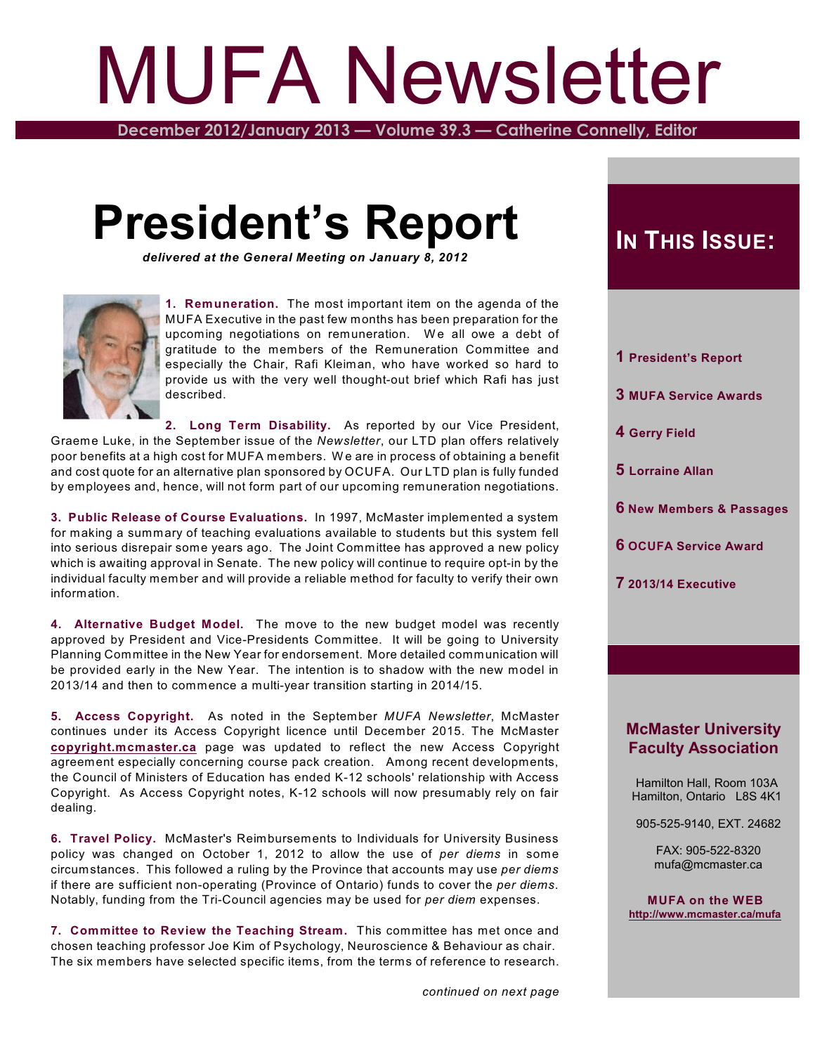# MUFA Newsletter

**December 2012/January 2013 — Volume 39.3 — Catherine Connelly, Editor**

## **President's Report**

*delivered at the General Meeting on January 8, 2012*



**1. Remuneration.** The most important item on the agenda of the MUFA Executive in the past few months has been preparation for the upcoming negotiations on remuneration. We all owe a debt of gratitude to the members of the Remuneration Committee and especially the Chair, Rafi Kleiman, who have worked so hard to provide us with the very well thought-out brief which Rafi has just described.

**2. Long Term Disability.** As reported by our Vice President, Graeme Luke, in the September issue of the *Newsletter*, our LTD plan offers relatively poor benefits at a high cost for MUFA members. W e are in process of obtaining a benefit and cost quote for an alternative plan sponsored by OCUFA. Our LTD plan is fully funded by employees and, hence, will not form part of our upcoming remuneration negotiations.

**3. Public Release of Course Evaluations.** In 1997, McMaster implemented a system for making a summary of teaching evaluations available to students but this system fell into serious disrepair some years ago. The Joint Committee has approved a new policy which is awaiting approval in Senate. The new policy will continue to require opt-in by the individual faculty member and will provide a reliable method for faculty to verify their own information.

**4. Alternative Budget Model.** The move to the new budget model was recently approved by President and Vice-Presidents Committee. It will be going to University Planning Committee in the New Year for endorsement. More detailed communication will be provided early in the New Year. The intention is to shadow with the new model in 2013/14 and then to commence a multi-year transition starting in 2014/15.

**5. Access Copyright.** As noted in the September *MUFA Newsletter*, McMaster continues under its Access Copyright licence until December 2015. The McMaster **[copyright.mcmaster.ca](http://copyright.mcmaster.ca)** page was updated to reflect the new Access Copyright agreement especially concerning course pack creation. Among recent developments, the Council of Ministers of Education has ended K-12 schools' relationship with Access Copyright. As Access Copyright notes, K-12 schools will now presumably rely on fair dealing.

**6. Travel Policy.** McMaster's Reimbursements to Individuals for University Business policy was changed on October 1, 2012 to allow the use of *per diems* in some circumstances. This followed a ruling by the Province that accounts may use *per diems* if there are sufficient non-operating (Province of Ontario) funds to cover the *per diems*. Notably, funding from the Tri-Council agencies may be used for *per diem* expenses.

**7. Committee to Review the Teaching Stream.** This committee has met once and chosen teaching professor Joe Kim of Psychology, Neuroscience & Behaviour as chair. The six members have selected specific items, from the terms of reference to research.

## $I$ **N**  $T$ **HIS**  $I$ **SSUE**:

- **1 President's Report**
- **3 MUFA Service Awards**
- **4 Gerry Field**
- **5 Lorraine Allan**
- **6 New Members & Passages**
- **6 OCUFA Service Award**
- **7 2013/14 Executive**

#### **McMaster University Faculty Association**

 Hamilton Hall, Room 103A Hamilton, Ontario L8S 4K1

905-525-9140, EXT. 24682

 FAX: 905-522-8320 mufa@mcmaster.ca

**MUFA on the WEB <http://www.mcmaster.ca/mufa>**

*continued on next page*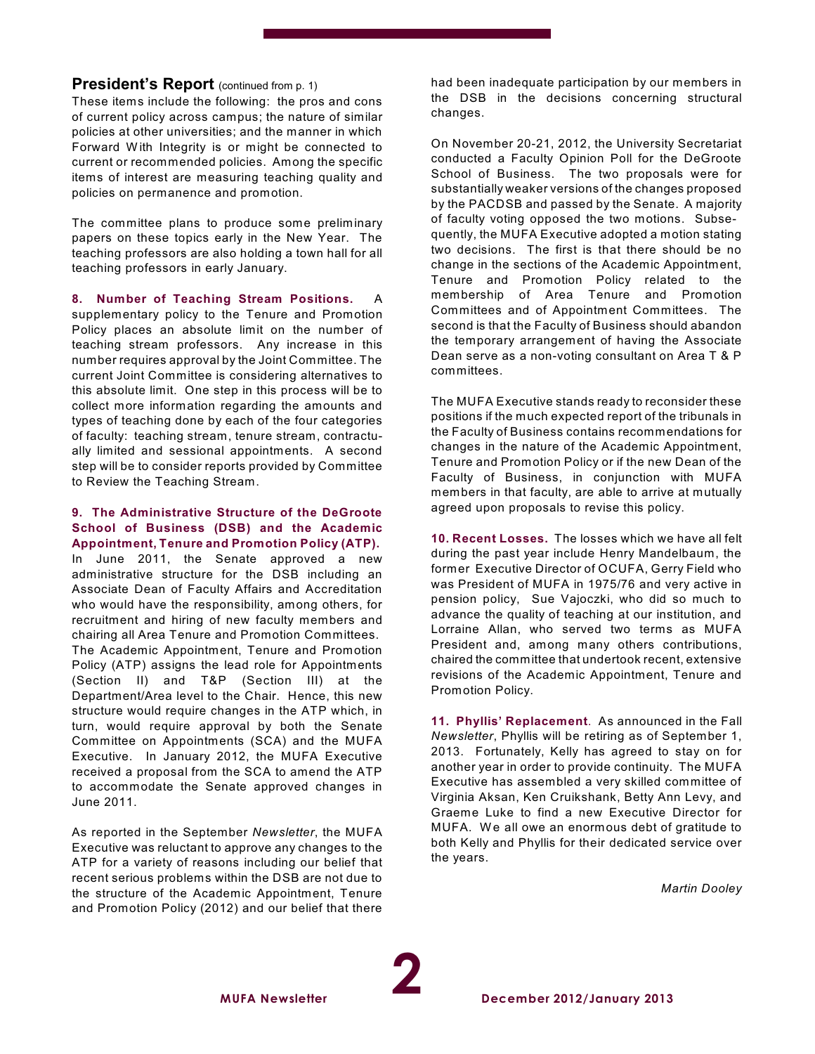#### **President's Report** (continued from p. 1)

These items include the following: the pros and cons of current policy across campus; the nature of similar policies at other universities; and the manner in which Forward W ith Integrity is or might be connected to current or recommended policies. Among the specific items of interest are measuring teaching quality and policies on permanence and promotion.

The committee plans to produce some preliminary papers on these topics early in the New Year. The teaching professors are also holding a town hall for all teaching professors in early January.

**8. Number of Teaching Stream Positions.** A

supplementary policy to the Tenure and Promotion Policy places an absolute limit on the number of teaching stream professors. Any increase in this number requires approval by the Joint Committee. The current Joint Committee is considering alternatives to this absolute limit. One step in this process will be to collect more information regarding the amounts and types of teaching done by each of the four categories of faculty: teaching stream, tenure stream, contractually limited and sessional appointments. A second step will be to consider reports provided by Committee to Review the Teaching Stream.

#### **9. The Administrative Structure of the DeGroote School of Business (DSB) and the Academic Appointment, Tenure and Promotion Policy (ATP).**

In June 2011, the Senate approved a new administrative structure for the DSB including an Associate Dean of Faculty Affairs and Accreditation who would have the responsibility, among others, for recruitment and hiring of new faculty members and chairing all Area Tenure and Promotion Committees. The Academic Appointment, Tenure and Promotion Policy (ATP) assigns the lead role for Appointments (Section II) and T&P (Section III) at the Department/Area level to the Chair. Hence, this new structure would require changes in the ATP which, in turn, would require approval by both the Senate Committee on Appointments (SCA) and the MUFA Executive. In January 2012, the MUFA Executive received a proposal from the SCA to amend the ATP to accommodate the Senate approved changes in June 2011.

As reported in the September *Newsletter*, the MUFA Executive was reluctant to approve any changes to the ATP for a variety of reasons including our belief that recent serious problems within the DSB are not due to the structure of the Academic Appointment, Tenure and Promotion Policy (2012) and our belief that there

**MUFA Newsletter**

had been inadequate participation by our members in the DSB in the decisions concerning structural changes.

On November 20-21, 2012, the University Secretariat conducted a Faculty Opinion Poll for the DeGroote School of Business. The two proposals were for substantially weaker versions of the changes proposed by the PACDSB and passed by the Senate. A majority of faculty voting opposed the two motions. Subsequently, the MUFA Executive adopted a motion stating two decisions. The first is that there should be no change in the sections of the Academic Appointment, Tenure and Promotion Policy related to the membership of Area Tenure and Promotion Committees and of Appointment Committees. The second is that the Faculty of Business should abandon the temporary arrangement of having the Associate Dean serve as a non-voting consultant on Area T & P committees.

The MUFA Executive stands ready to reconsider these positions if the much expected report of the tribunals in the Faculty of Business contains recommendations for changes in the nature of the Academic Appointment, Tenure and Promotion Policy or if the new Dean of the Faculty of Business, in conjunction with MUFA members in that faculty, are able to arrive at mutually agreed upon proposals to revise this policy.

**10. Recent Losses.** The losses which we have all felt during the past year include Henry Mandelbaum, the former Executive Director of OCUFA, Gerry Field who was President of MUFA in 1975/76 and very active in pension policy, Sue Vajoczki, who did so much to advance the quality of teaching at our institution, and Lorraine Allan, who served two terms as MUFA President and, among many others contributions, chaired the committee that undertook recent, extensive revisions of the Academic Appointment, Tenure and Promotion Policy.

**11. Phyllis' Replacement**. As announced in the Fall *Newsletter*, Phyllis will be retiring as of September 1, 2013. Fortunately, Kelly has agreed to stay on for another year in order to provide continuity. The MUFA Executive has assembled a very skilled committee of Virginia Aksan, Ken Cruikshank, Betty Ann Levy, and Graeme Luke to find a new Executive Director for MUFA. We all owe an enormous debt of gratitude to both Kelly and Phyllis for their dedicated service over the years.

*Martin Dooley*

**2**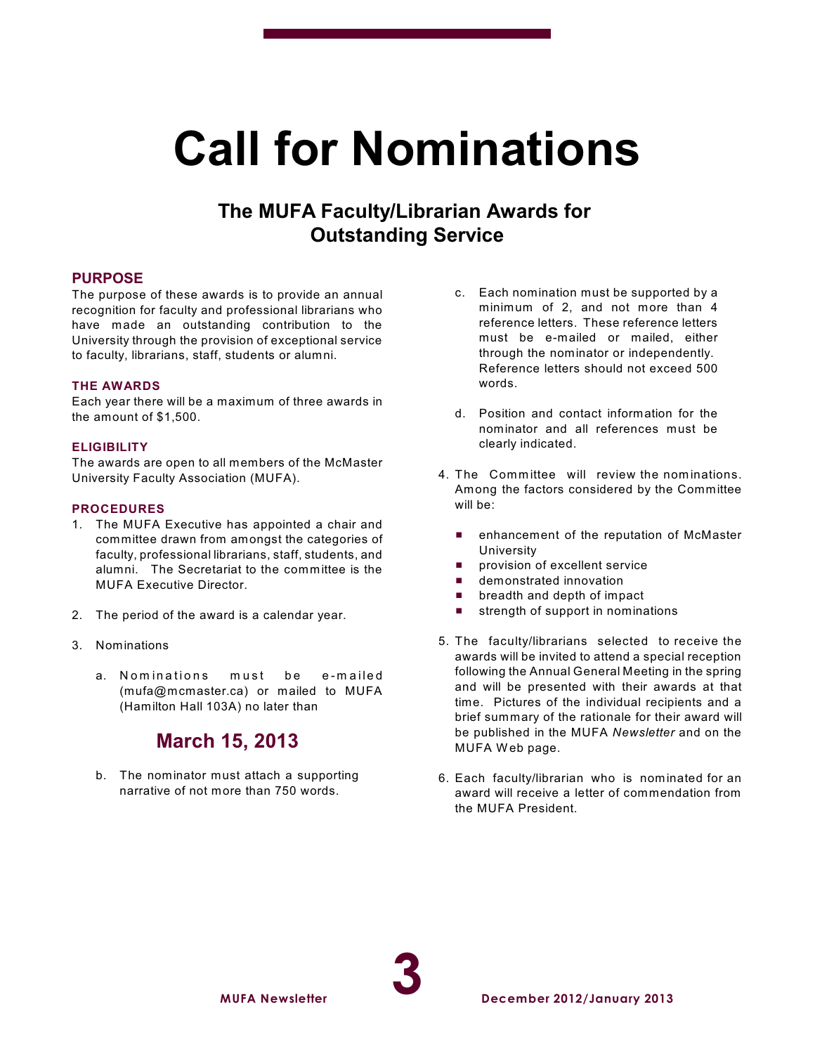## **Call for Nominations**

### **The MUFA Faculty/Librarian Awards for Outstanding Service**

#### **PURPOSE**

The purpose of these awards is to provide an annual recognition for faculty and professional librarians who have made an outstanding contribution to the University through the provision of exceptional service to faculty, librarians, staff, students or alumni.

#### **THE AWARDS**

Each year there will be a maximum of three awards in the amount of \$1,500.

#### **ELIGIBILITY**

The awards are open to all members of the McMaster University Faculty Association (MUFA).

#### **PROCEDURES**

- 1. The MUFA Executive has appointed a chair and committee drawn from amongst the categories of faculty, professional librarians, staff, students, and alumni. The Secretariat to the committee is the MUFA Executive Director.
- 2. The period of the award is a calendar year.
- 3. Nominations
	- a. Nominations must be e-mailed (mufa@mcmaster.ca) or mailed to MUFA (Hamilton Hall 103A) no later than

### **March 15, 2013**

b. The nominator must attach a supporting narrative of not more than 750 words.

- c. Each nomination must be supported by a minimum of 2, and not more than 4 reference letters. These reference letters must be e-mailed or mailed, either through the nominator or independently. Reference letters should not exceed 500 words.
- d. Position and contact information for the nominator and all references must be clearly indicated.
- 4. The Committee will review the nominations. Among the factors considered by the Committee will be:
	- **E** enhancement of the reputation of McMaster University
	- provision of excellent service
	- $\blacksquare$  demonstrated innovation
	- $\blacksquare$  breadth and depth of impact
	- $\blacksquare$  strength of support in nominations
- 5. The faculty/librarians selected to receive the awards will be invited to attend a special reception following the Annual General Meeting in the spring and will be presented with their awards at that time. Pictures of the individual recipients and a brief summary of the rationale for their award will be published in the MUFA *Newsletter* and on the MUFA Web page.
- 6. Each faculty/librarian who is nominated for an award will receive a letter of commendation from the MUFA President.

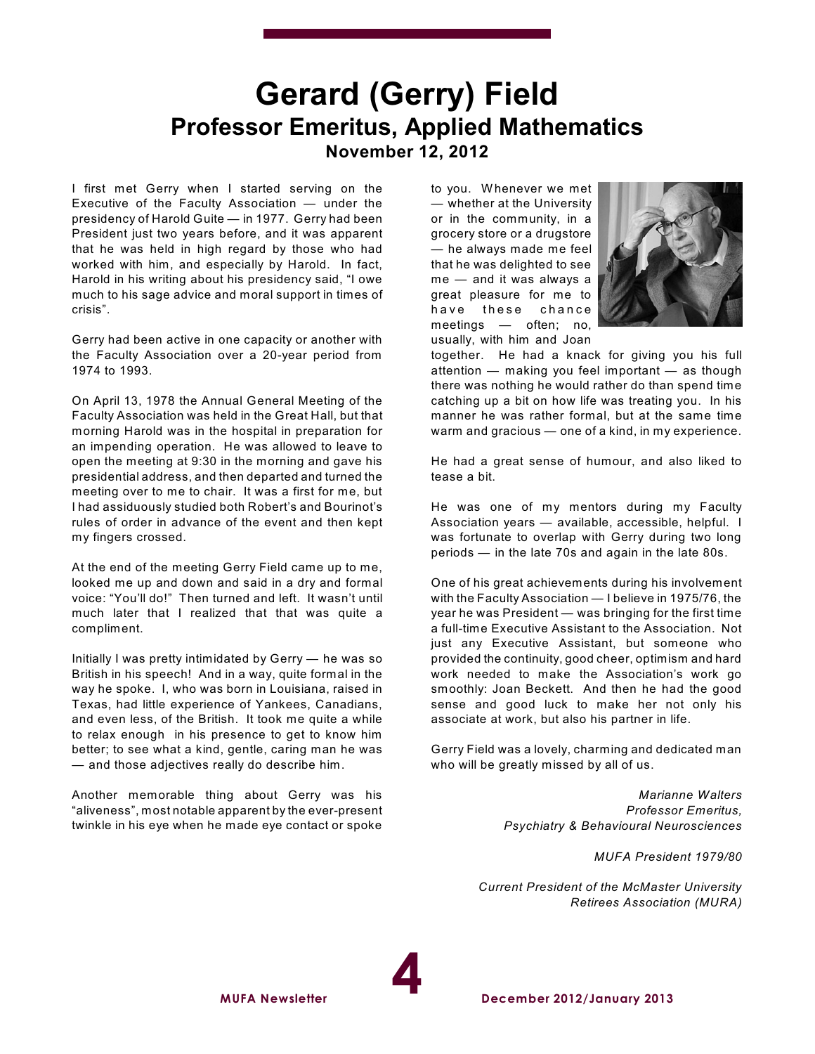## **Gerard (Gerry) Field Professor Emeritus, Applied Mathematics November 12, 2012**

I first met Gerry when I started serving on the Executive of the Faculty Association — under the presidency of Harold Guite — in 1977. Gerry had been President just two years before, and it was apparent that he was held in high regard by those who had worked with him, and especially by Harold. In fact, Harold in his writing about his presidency said, "I owe much to his sage advice and moral support in times of crisis".

Gerry had been active in one capacity or another with the Faculty Association over a 20-year period from 1974 to 1993.

On April 13, 1978 the Annual General Meeting of the Faculty Association was held in the Great Hall, but that morning Harold was in the hospital in preparation for an impending operation. He was allowed to leave to open the meeting at 9:30 in the morning and gave his presidential address, and then departed and turned the meeting over to me to chair. It was a first for me, but I had assiduously studied both Robert's and Bourinot's rules of order in advance of the event and then kept my fingers crossed.

At the end of the meeting Gerry Field came up to me, looked me up and down and said in a dry and formal voice: "You'll do!" Then turned and left. It wasn't until much later that I realized that that was quite a compliment.

Initially I was pretty intimidated by Gerry — he was so British in his speech! And in a way, quite formal in the way he spoke. I, who was born in Louisiana, raised in Texas, had little experience of Yankees, Canadians, and even less, of the British. It took me quite a while to relax enough in his presence to get to know him better; to see what a kind, gentle, caring man he was — and those adjectives really do describe him.

Another memorable thing about Gerry was his "aliveness", most notable apparent by the ever-present twinkle in his eye when he made eye contact or spoke

to you. Whenever we met — whether at the University or in the community, in a grocery store or a drugstore — he always made me feel that he was delighted to see me — and it was always a great pleasure for me to have these chance meetings — often; no, usually, with him and Joan



together. He had a knack for giving you his full attention — making you feel important — as though there was nothing he would rather do than spend time catching up a bit on how life was treating you. In his manner he was rather formal, but at the same time warm and gracious — one of a kind, in my experience.

He had a great sense of humour, and also liked to tease a bit.

He was one of my mentors during my Faculty Association years — available, accessible, helpful. I was fortunate to overlap with Gerry during two long periods — in the late 70s and again in the late 80s.

One of his great achievements during his involvement with the Faculty Association — I believe in 1975/76, the year he was President — was bringing for the first time a full-time Executive Assistant to the Association. Not just any Executive Assistant, but someone who provided the continuity, good cheer, optimism and hard work needed to make the Association's work go smoothly: Joan Beckett. And then he had the good sense and good luck to make her not only his associate at work, but also his partner in life.

Gerry Field was a lovely, charming and dedicated man who will be greatly missed by all of us.

> *Marianne Walters Professor Emeritus, Psychiatry & Behavioural Neurosciences*

> > *MUFA President 1979/80*

*Current President of the McMaster University Retirees Association (MURA)*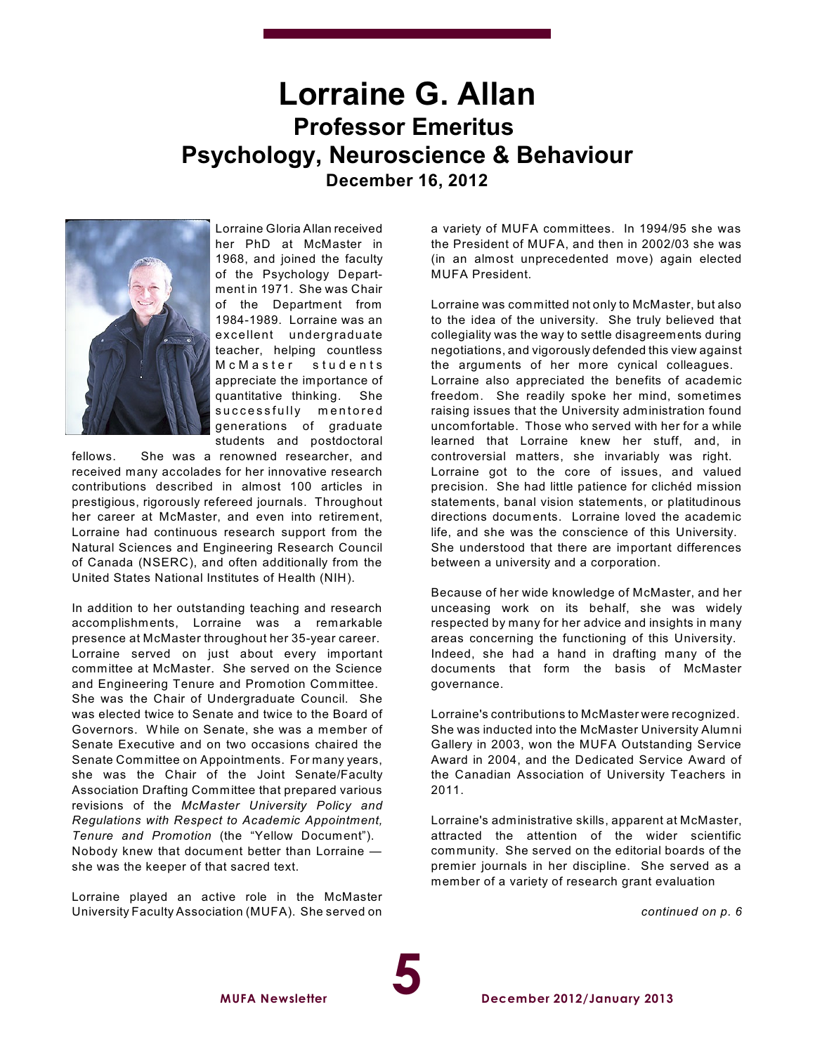## **Lorraine G. Allan Professor Emeritus Psychology, Neuroscience & Behaviour December 16, 2012**



Lorraine Gloria Allan received her PhD at McMaster in 1968, and joined the faculty of the Psychology Department in 1971. She was Chair of the Department from 1984-1989. Lorraine was an ex cellent undergraduate teacher, helping countless M c M a s t e r s t u d e n t s appreciate the importance of quantitative thinking. She successfully mentored generations of graduate students and postdoctoral

fellows. She was a renowned researcher, and received many accolades for her innovative research contributions described in almost 100 articles in prestigious, rigorously refereed journals. Throughout her career at McMaster, and even into retirement, Lorraine had continuous research support from the Natural Sciences and Engineering Research Council of Canada (NSERC), and often additionally from the United States National Institutes of Health (NIH).

In addition to her outstanding teaching and research accomplishments, Lorraine was a remarkable presence at McMaster throughout her 35-year career. Lorraine served on just about every important committee at McMaster. She served on the Science and Engineering Tenure and Promotion Committee. She was the Chair of Undergraduate Council. She was elected twice to Senate and twice to the Board of Governors. W hile on Senate, she was a member of Senate Executive and on two occasions chaired the Senate Committee on Appointments. For many years, she was the Chair of the Joint Senate/Faculty Association Drafting Committee that prepared various revisions of the *McMaster University Policy and Regulations with Respect to Academic Appointment, Tenure and Promotion* (the "Yellow Document"). Nobody knew that document better than Lorraine she was the keeper of that sacred text.

Lorraine played an active role in the McMaster University Faculty Association (MUFA). She served on a variety of MUFA committees. In 1994/95 she was the President of MUFA, and then in 2002/03 she was (in an almost unprecedented move) again elected MUFA President.

Lorraine was committed not only to McMaster, but also to the idea of the university. She truly believed that collegiality was the way to settle disagreements during negotiations, and vigorously defended this view against the arguments of her more cynical colleagues. Lorraine also appreciated the benefits of academic freedom. She readily spoke her mind, sometimes raising issues that the University administration found uncomfortable. Those who served with her for a while learned that Lorraine knew her stuff, and, in controversial matters, she invariably was right. Lorraine got to the core of issues, and valued precision. She had little patience for clichéd mission statements, banal vision statements, or platitudinous directions documents. Lorraine loved the academic life, and she was the conscience of this University. She understood that there are important differences between a university and a corporation.

Because of her wide knowledge of McMaster, and her unceasing work on its behalf, she was widely respected by many for her advice and insights in many areas concerning the functioning of this University. Indeed, she had a hand in drafting many of the documents that form the basis of McMaster governance.

Lorraine's contributions to McMaster were recognized. She was inducted into the McMaster University Alumni Gallery in 2003, won the MUFA Outstanding Service Award in 2004, and the Dedicated Service Award of the Canadian Association of University Teachers in 2011.

Lorraine's administrative skills, apparent at McMaster, attracted the attention of the wider scientific community. She served on the editorial boards of the premier journals in her discipline. She served as a member of a variety of research grant evaluation

*continued on p. 6*

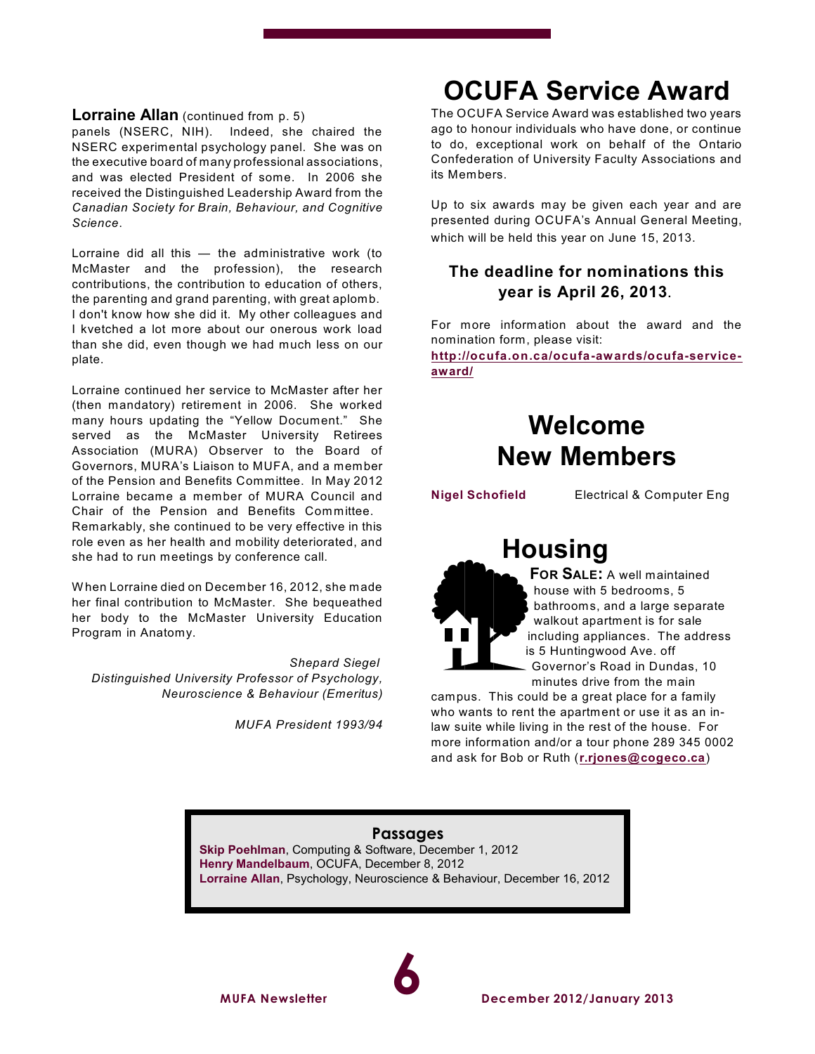#### **Lorraine Allan** (continued from p. 5)

panels (NSERC, NIH). Indeed, she chaired the NSERC experimental psychology panel. She was on the executive board of many professional associations, and was elected President of some. In 2006 she received the Distinguished Leadership Award from the *Canadian Society for Brain, Behaviour, and Cognitive Science*.

Lorraine did all this — the administrative work (to McMaster and the profession), the research contributions, the contribution to education of others, the parenting and grand parenting, with great aplomb. I don't know how she did it. My other colleagues and I kvetched a lot more about our onerous work load than she did, even though we had much less on our plate.

Lorraine continued her service to McMaster after her (then mandatory) retirement in 2006. She worked many hours updating the "Yellow Document." She served as the McMaster University Retirees Association (MURA) Observer to the Board of Governors, MURA's Liaison to MUFA, and a member of the Pension and Benefits Committee. In May 2012 Lorraine became a member of MURA Council and Chair of the Pension and Benefits Committee. Remarkably, she continued to be very effective in this role even as her health and mobility deteriorated, and she had to run meetings by conference call.

W hen Lorraine died on December 16, 2012, she made her final contribution to McMaster. She bequeathed her body to the McMaster University Education Program in Anatomy.

*Shepard Siegel Distinguished University Professor of Psychology, Neuroscience & Behaviour (Emeritus)*

*MUFA President 1993/94*

## **OCUFA Service Award**

The OCUFA Service Award was established two years ago to honour individuals who have done, or continue to do, exceptional work on behalf of the Ontario Confederation of University Faculty Associations and its Members.

Up to six awards may be given each year and are presented during OCUFA's Annual General Meeting, which will be held this year on June 15, 2013.

#### **The deadline for nominations this year is April 26, 2013.**

For more information about the award and the nomination form, please visit:

**[http://ocufa.on.ca/ocufa-awards/ocufa-service](http://ocufa.on.ca/ocufa-awards/ocufa-service-award/)[award/](http://ocufa.on.ca/ocufa-awards/ocufa-service-award/)**

## **Welcome New Members**

**Nigel Schofield** Electrical & Computer Eng

## **Housing**

**FOR SALE:** A well maintained house with 5 bedrooms, 5 bathrooms, and a large separate walkout apartment is for sale including appliances. The address is 5 Huntingwood Ave. off Governor's Road in Dundas, 10 minutes drive from the main

campus. This could be a great place for a family who wants to rent the apartment or use it as an inlaw suite while living in the rest of the house. For more information and/or a tour phone 289 345 0002 and ask for Bob or Ruth (**[r.rjones@cogeco.ca](mailto:r.rjones@cogeco.ca)**)

#### **Passages Skip Poehlman**, Computing & Software, December 1, 2012 **Henry Mandelbaum**, OCUFA, December 8, 2012 **Lorraine Allan**, Psychology, Neuroscience & Behaviour, December 16, 2012